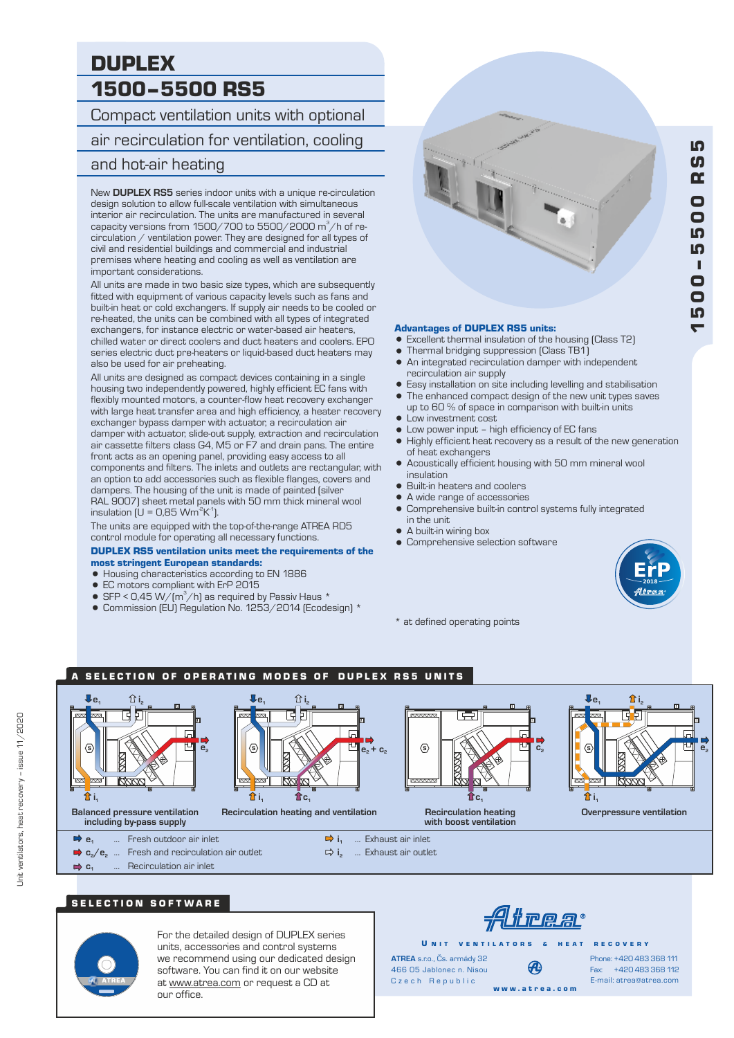# DUPLEX 1500–5500 RS5

Compact ventilation units with optional air recirculation for ventilation, cooling and hot-air heating

#### New **DUPLEX RS5** series indoor units with a unique re-circulation design solution to allow full-scale ventilation with simultaneous interior air recirculation. The units are manufactured in several capacity versions from 1500/700 to 5500/2000 m $^3\!/$ h of recirculation / ventilation power. They are designed for all types of civil and residential buildings and commercial and industrial premises where heating and cooling as well as ventilation are important considerations.

All units are made in two basic size types, which are subsequently fitted with equipment of various capacity levels such as fans and built-in heat or cold exchangers. If supply air needs to be cooled or re-heated, the units can be combined with all types of integrated exchangers, for instance electric or water-based air heaters, chilled water or direct coolers and duct heaters and coolers. EPO series electric duct pre-heaters or liquid-based duct heaters may also be used for air preheating.

All units are designed as compact devices containing in a single housing two independently powered, highly efficient EC fans with flexibly mounted motors, a counter-flow heat recovery exchanger with large heat transfer area and high efficiency, a heater recovery exchanger bypass damper with actuator, a recirculation air damper with actuator, slide-out supply, extraction and recirculation air cassette filters class G4, M5 or F7 and drain pans. The entire front acts as an opening panel, providing easy access to all components and filters. The inlets and outlets are rectangular, with an option to add accessories such as flexible flanges, covers and dampers. The housing of the unit is made of painted (silver RAL 9007) sheet metal panels with 50 mm thick mineral wool insulation (U = 0.85 Wm  $^2K^1$ ).

The units are equipped with the top-of-the-range ATREA RD5 control module for operating all necessary functions.

#### DUPLEX RS5 ventilation units meet the requirements of the most stringent European standards:

- = Housing characteristics according to EN 1886
- EC motors compliant with ErP 2015
- SFP < 0,45 W/( $m^3/h$ ) as required by Passiv Haus  $*$
- = Commission (EU) Regulation No. 1253/2014 (Ecodesign) \*



#### Advantages of DUPLEX RS5 units:

- Excellent thermal insulation of the housing (Class T2)
- Thermal bridging suppression (Class TB1)
- An integrated recirculation damper with independent recirculation air supply
- The enhanced compact design of the new unit types saves Easy installation on site including levelling and stabilisation
- up to 60 % of space in comparison with built-in units • Low investment cost
- Low power input high efficiency of EC fans
- = Highly efficient heat recovery as a result of the new generation of heat exchangers
- Acoustically efficient housing with 50 mm mineral wool insulation
- = Built-in heaters and coolers
- = A wide range of accessories
- Comprehensive built-in control systems fully integrated in the unit
- A built-in wiring box
- **Comprehensive selection software**



 $\blacktriangledown$ 

–

\* at defined operating points

# A SELECTION OF OPERATING MODES OF DUPLEX RS5 UNITS



# SELECTION SOFTWARE



For the detailed design of DUPLEX series units, accessories and control systems we recommend using our dedicated design software. You can find it on our website at www.atrea.com or request a CD at our office.

<u> Alirear</u>

w w w . a t r e a . c o m

U N IT VENTILATORS & HEAT RECOVERY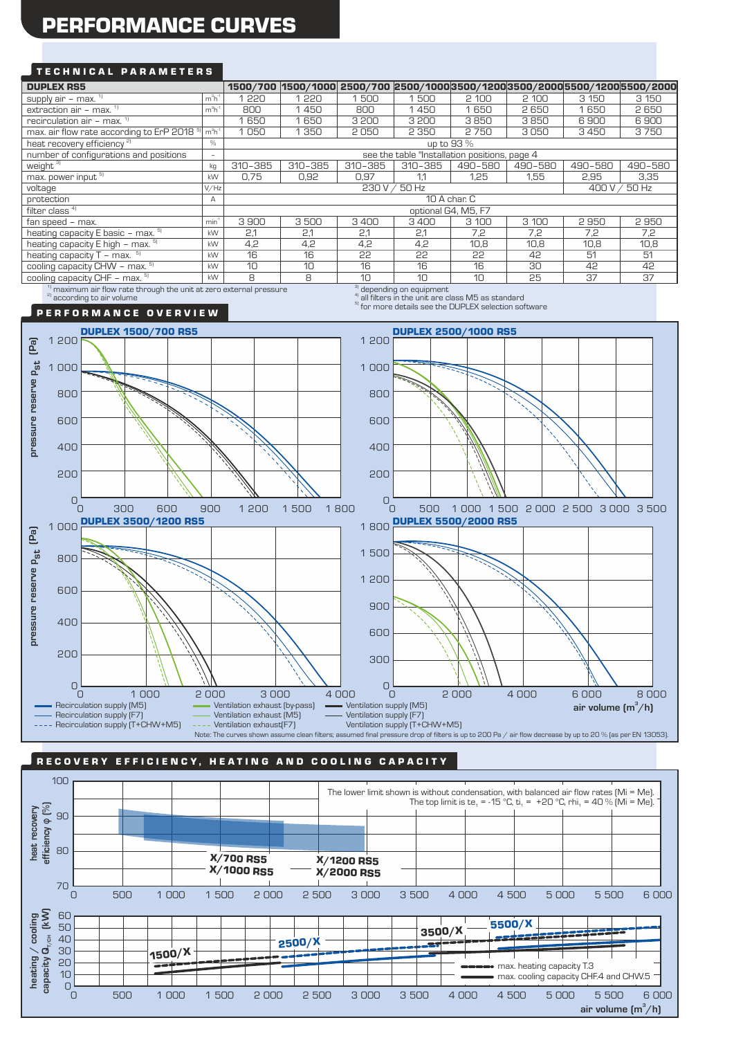# PERFORMANCE CURVES

# TECHNICAL PARAMETERS

| <b>DUPLEX RS5</b>                                                | 1500/700         | 1500/1000 2500/700 2500/1000 3500/1200 3500/2000 5500/1200 5500/2000 |         |         |         |         |         |         |         |  |
|------------------------------------------------------------------|------------------|----------------------------------------------------------------------|---------|---------|---------|---------|---------|---------|---------|--|
| supply air $-$ max. $\frac{1}{1}$                                | $m3h-1$          | 1220                                                                 | 1220    | 1500    | 1500    | 2 100   | 2 100   | 3 150   | 3 150   |  |
| extraction air - max. $1$                                        | $m^3h^2$         | 800                                                                  | 1450    | 800     | 1450    | 1650    | 2650    | 650     | 2650    |  |
| recirculation air - max. <sup>1)</sup>                           |                  | 1650                                                                 | 1650    | 3 200   | 3 200   | 3850    | 3850    | 6900    | 6900    |  |
| max. air flow rate according to ErP 2018 <sup>5</sup><br>$m3h-1$ |                  | 1050                                                                 | 1 3 5 0 | 2050    | 2 3 5 0 | 2750    | 3050    | 3450    | 3750    |  |
| heat recovery efficiency <sup>2)</sup>                           | %                | up to 93 %                                                           |         |         |         |         |         |         |         |  |
| number of configurations and positions                           | $\sim$           | see the table "Installation positions, page 4                        |         |         |         |         |         |         |         |  |
| weight <sup>31</sup>                                             | kg               | 310-385                                                              | 310-385 | 310-385 | 310-385 | 490-580 | 490-580 | 490-580 | 490-580 |  |
| max. power input 5)                                              | kW               | 0.75                                                                 | 0,92    | 0,97    | 1.1     | 1,25    | 1,55    | 2,95    | 3,35    |  |
| voltage                                                          | V/Hz             | 400 V / 50 Hz<br>230 V / 50 Hz                                       |         |         |         |         |         |         |         |  |
| protection                                                       | Α                | 10 A char. C                                                         |         |         |         |         |         |         |         |  |
| filter class <sup>41</sup>                                       |                  | optional G4, M5, F7                                                  |         |         |         |         |         |         |         |  |
| fan speed - max.                                                 | min <sup>1</sup> | 3900                                                                 | 3500    | 3400    | 3400    | 3 100   | 3 100   | 2950    | 2950    |  |
| heating capacity E basic - max. 5)                               |                  | 2,1                                                                  | 2,1     | 2.1     | 2,1     | 7,2     | 7,2     | 7,2     | 7,2     |  |
| heating capacity E high - max. 51                                | kW               | 4,2                                                                  | 4,2     | 4,2     | 4,2     | 10,8    | 10,8    | 10,8    | 10,8    |  |
| heating capacity $T - \text{max.}$ <sup>5)</sup>                 | kW               | 16                                                                   | 16      | 22      | 22      | 22      | 42      | 51      | 51      |  |
| cooling capacity CHW - max. <sup>5)</sup>                        | kW               | 10                                                                   | 10      | 16      | 16      | 16      | 30      | 42      | 42      |  |
| cooling capacity CHF - max. 5)                                   | kW               | 8                                                                    | 8       | 10      | 10      | 10      | 25      | 37      | 37      |  |
| $31 + 12 = 12$                                                   |                  |                                                                      |         |         |         |         |         |         |         |  |

 $^{\textrm{\tiny{1}}}$  maximum air flow rate through the unit at zero external pressure  $^{\textrm{\tiny{2}}}$  all filters in the unit are class M5 as standard and a cording to air volume

' depending on equipment<br>' all filters in the unit are class M5 as standard

<sup>5)</sup> for more details see the DUPLEX selection software

### P E R F O R M A N C E O V E R V I E W



# RECOVERY EFFICIENCY, HEATING AND COOLING CAPACITY

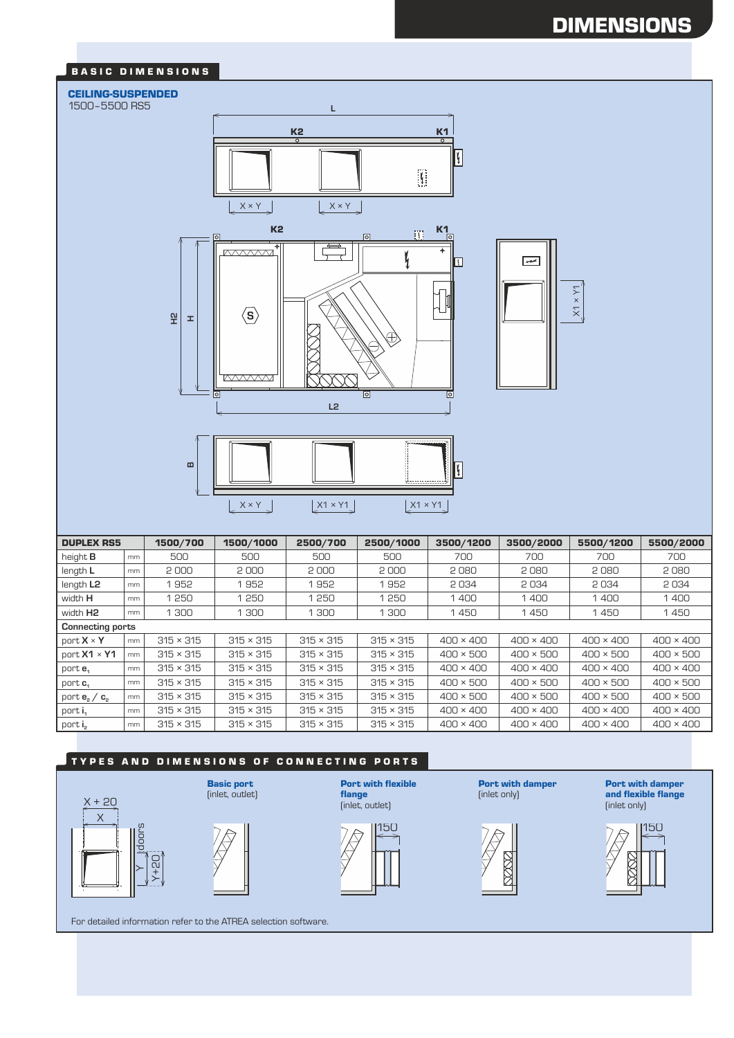### BASIC DIMENSIONS

#### CEILING-SUSPENDED

#### 1500–5500 RS5



| 윞<br>್ರ<br>≙≬<br>I.<br><b>MAAA</b><br>$\overline{a}$<br>$\overline{\bullet}$<br>L2<br>$\blacksquare$<br>$\mathfrak{l}$<br>$X1 \times Y1$<br>$X \times Y$<br>$X1 \times Y1$ |    |                  |                  |                                                              |                  |                         |                                                                |                  |                  |  |
|----------------------------------------------------------------------------------------------------------------------------------------------------------------------------|----|------------------|------------------|--------------------------------------------------------------|------------------|-------------------------|----------------------------------------------------------------|------------------|------------------|--|
| <b>DUPLEX RS5</b>                                                                                                                                                          |    | 1500/700         | 1500/1000        | 2500/700                                                     | 2500/1000        | 3500/1200               | 3500/2000                                                      | 5500/1200        | 5500/2000        |  |
| height <b>B</b>                                                                                                                                                            | mm | 500              | 500              | 500                                                          | 500              | 700                     | 700                                                            | 700              | 700              |  |
| length L                                                                                                                                                                   | mm | 2000             | 2000             | 2000                                                         | 2000             | 2080                    | 2080                                                           | 2080             | 2080             |  |
| length L <sub>2</sub>                                                                                                                                                      | mm | 1952             | 1952             | 1952                                                         | 1952             | 2034                    | 2034                                                           | 2034             | 2034             |  |
| width H                                                                                                                                                                    | mm | 1250             | 1250             | 1250                                                         | 1250             | 1400                    | 1400                                                           | 1400             | 1400             |  |
| width H <sub>2</sub>                                                                                                                                                       | mm | 1 300            | 1 300            | 1 300                                                        | 1 300            | 1450                    | 1450                                                           | 1450             | 1450             |  |
| <b>Connecting ports</b>                                                                                                                                                    |    |                  |                  |                                                              |                  |                         |                                                                |                  |                  |  |
| port X × Y                                                                                                                                                                 | mm | $315 \times 315$ | $315 \times 315$ | $315 \times 315$                                             | $315 \times 315$ | $400 \times 400$        | $400 \times 400$                                               | $400 \times 400$ | $400 \times 400$ |  |
| port X1 × Y1                                                                                                                                                               | mm | $315 \times 315$ | $315 \times 315$ | $315 \times 315$                                             | $315 \times 315$ | $400 \times 500$        | $400 \times 500$                                               | $400 \times 500$ | $400 \times 500$ |  |
| port e <sub>1</sub>                                                                                                                                                        | mm | $315 \times 315$ | $315 \times 315$ | $315 \times 315$                                             | $315 \times 315$ | $400 \times 400$        | $400 \times 400$                                               | $400 \times 400$ | $400 \times 400$ |  |
| port $c_1$                                                                                                                                                                 | mm | $315 \times 315$ | $315 \times 315$ | $315 \times 315$                                             | $315 \times 315$ | $400 \times 500$        | $400 \times 500$                                               | $400 \times 500$ | $400 \times 500$ |  |
| port $\mathbf{e}_{2} \, / \, \mathbf{c}_{2}$                                                                                                                               | mm | $315 \times 315$ | $315 \times 315$ | $315 \times 315$                                             | $315 \times 315$ | $400 \times 500$        | $400 \times 500$                                               | $400 \times 500$ | $400 \times 500$ |  |
| port i <sub>1</sub>                                                                                                                                                        | mm | $315 \times 315$ | $315 \times 315$ | $315 \times 315$                                             | $315 \times 315$ | $400 \times 400$        | $400 \times 400$                                               | $400 \times 400$ | $400 \times 400$ |  |
| port i <sub>2</sub>                                                                                                                                                        | mm | $315 \times 315$ | $315 \times 315$ | $315 \times 315$                                             | $315 \times 315$ | $400 \times 400$        | $400 \times 400$                                               | $400 \times 400$ | $400 \times 400$ |  |
| <b>TYPES AND DIMENSIONS OF CONNECTING PORTS</b>                                                                                                                            |    |                  |                  |                                                              |                  |                         |                                                                |                  |                  |  |
| <b>Basic port</b><br>(inlet, outlet)<br>X + 20<br>Χ                                                                                                                        |    |                  | flange           | <b>Port with flexible</b><br>(inlet only)<br>(inlet, outlet) |                  | <b>Port with damper</b> | <b>Port with damper</b><br>and flexible flange<br>(inlet only) |                  |                  |  |
| <b>Idoors</b><br>$D2 + X$                                                                                                                                                  |    |                  |                  |                                                              | 15C              |                         |                                                                |                  |                  |  |
| For detailed information refer to the ATREA selection software.                                                                                                            |    |                  |                  |                                                              |                  |                         |                                                                |                  |                  |  |

# TYPES AND DIMENSIONS OF CONNECTING PORTS





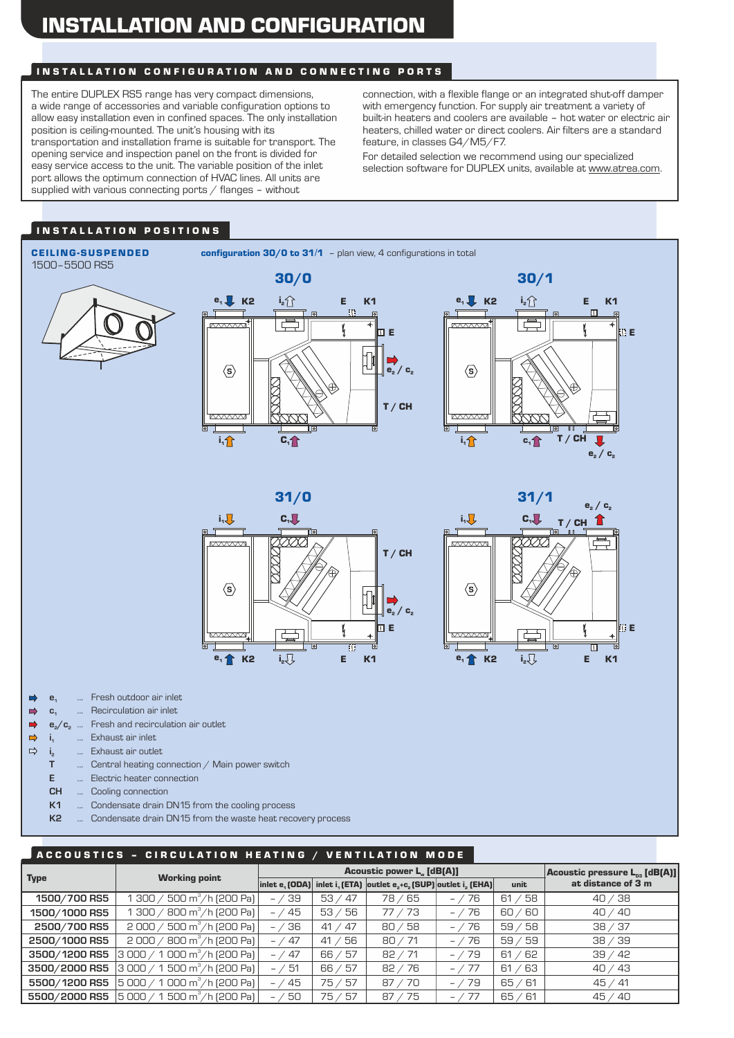# INSTALLATION AND CONFIGURATION

### IN STALLATION CONFIGURATION AND CONNECTING PORTS

The entire DUPLEX RS5 range has very compact dimensions, a wide range of accessories and variable configuration options to allow easy installation even in confined spaces. The only installation position is ceiling-mounted. The unit's housing with its transportation and installation frame is suitable for transport. The opening service and inspection panel on the front is divided for easy service access to the unit. The variable position of the inlet port allows the optimum connection of HVAC lines. All units are supplied with various connecting ports  $/$  flanges – without

connection, with a flexible flange or an integrated shut-off damper with emergency function. For supply air treatment a variety of built-in heaters and coolers are available – hot water or electric air heaters, chilled water or direct coolers. Air filters are a standard feature, in classes G4/M5/F7.

For detailed selection we recommend using our specialized selection software for DUPLEX units, available at www.atrea.com.

# I N S T A L L A T I O N P O S I T I O N S

# 1500–5500 RS5

CEILING-SUSPENDED configuration 30/0 to 31/1 - plan view, 4 configurations in total











- **e**<sub>1</sub> ... Fresh outdoor air inlet  $\Rightarrow$
- **c**<sub>1</sub> ... Recirculation air inlet  $\Rightarrow$
- **e**<sub>2</sub>/**c**<sub>2</sub> ... Fresh and recirculation air outlet  $\Rightarrow$
- $\Rightarrow$ **i**<sub>1</sub> ... Exhaust air inlet
- $\Rightarrow$ **i**<sub>2</sub> ... Exhaust air outlet
	- **T** ... Central heating connection / Main power switch
	- **E** ... Electric heater connection
	- **CH** ... Cooling connection
	- **K1** ... Condensate drain DN15 from the cooling process
	- **K2** ... Condensate drain DN15 from the waste heat recovery process

### A C COUSTICS - CIRCULATION HEATING / VENTILATION MODE

|               |                                                 |          | Acoustic power L. [dB(A)] | Acoustic pressure $L_{03}$ [dB(A)]                                                                                                                                    |                                 |            |                    |
|---------------|-------------------------------------------------|----------|---------------------------|-----------------------------------------------------------------------------------------------------------------------------------------------------------------------|---------------------------------|------------|--------------------|
| <b>Type</b>   | <b>Working point</b>                            |          |                           | $\vert$ inlet e <sub>1</sub> (ODA) $\vert$ inlet i <sub>1</sub> (ETA) $\vert$ outlet e <sub>2</sub> +c <sub>2</sub> (SUP) $\vert$ outlet i <sub>2</sub> (EHA) $\vert$ |                                 | unit       | at distance of 3 m |
| 1500/700 RS5  | 300 / 500 m <sup>3</sup> /h (200 Pa)            | $- / 39$ | 53 <sub>7</sub><br>-47    | 78/65                                                                                                                                                                 | 76<br>$ \prime$                 | 58<br>61   | 40 / 38            |
| 1500/1000 RS5 | $300 / 800$ m <sup>3</sup> /h (200 Pa)          | $- / 45$ | 53/<br>- 56               | 77/73                                                                                                                                                                 | 76<br>$ \overline{\phantom{0}}$ | 60 / 60    | 40/40              |
| 2500/700 RS5  | $2000 / 500 m^3/h$ (200 Pa)                     | $- / 36$ | 41 / 47                   | 80/58                                                                                                                                                                 | 76<br>$-$ /                     | 59/58      | 38 / 37            |
| 2500/1000 RS5 | $2000 / 800$ m <sup>3</sup> /h (200 Pa)         | $- / 47$ | 56<br>41/                 | 80 / 71                                                                                                                                                               | 76<br>$-$ /                     | 59/<br>159 | 38 / 39            |
| 3500/1200 RS5 | $ 3000/1000 \,\text{m}^3/\text{h}$ (200 Pa) $ $ | $- / 47$ | - 57<br>66/               | 82 / 71                                                                                                                                                               | 79<br>$ \overline{\phantom{a}}$ | 61 / 62    | 39/42              |
| 3500/2000 RS5 | $ 3000 / 1500 m^3/h$ (200 Pa)                   | $- / 51$ | 66 / 57                   | 82 / 76                                                                                                                                                               | 77<br>$-$ /                     | 163<br>61/ | 40 / 43            |
| 5500/1200 RS5 | $ 5000 / 1000 m^3/h$ (200 Pa)                   | $- / 45$ | 75 / 57                   | 87 / 70                                                                                                                                                               | $- / 79$                        | 65/61      | 45/41              |
| 5500/2000 RS5 | $ 5000 / 1500 m^3/h$ (200 Pa)                   | $- / 50$ | 75/<br>157                | 87 / 75                                                                                                                                                               | $-$ /                           | 65/61      | 45 / 40            |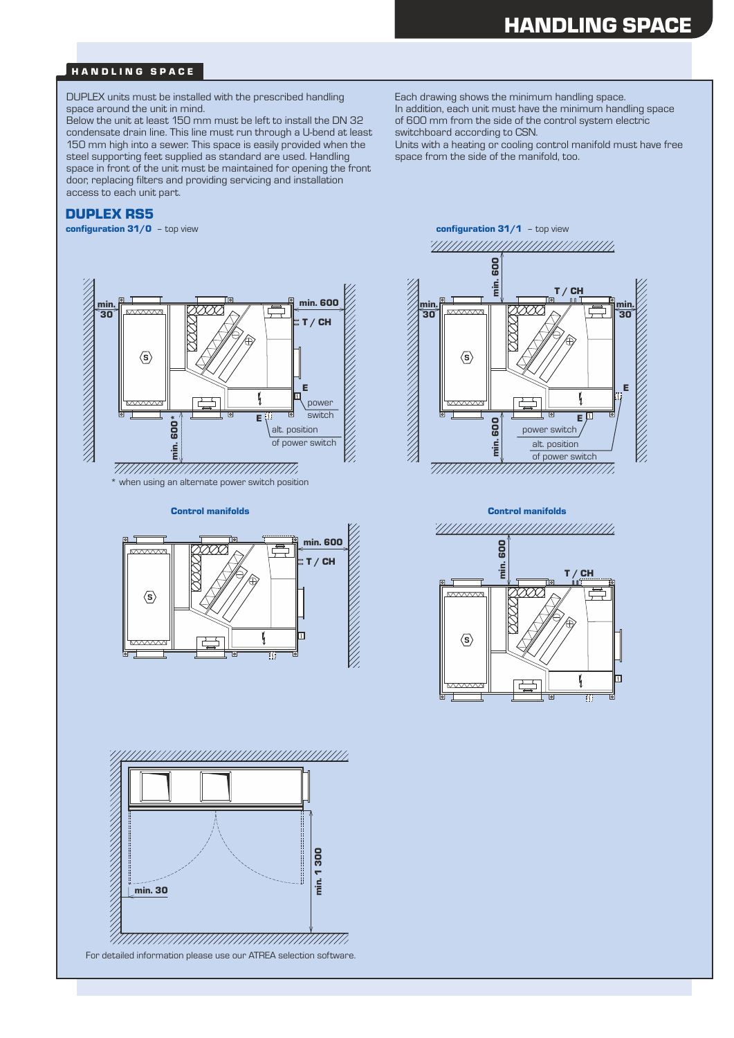### HANDLING SPACE

DUPLEX units must be installed with the prescribed handling space around the unit in mind.

Below the unit at least 150 mm must be left to install the DN 32 condensate drain line. This line must run through a U-bend at least 150 mm high into a sewer. This space is easily provided when the steel supporting feet supplied as standard are used. Handling space in front of the unit must be maintained for opening the front door, replacing filters and providing servicing and installation access to each unit part.

#### DUPLEX RS5

configuration 31/0 - top view

Each drawing shows the minimum handling space. In addition, each unit must have the minimum handling space of 600 mm from the side of the control system electric switchboard according to CSN.

Units with a heating or cooling control manifold must have free space from the side of the manifold, too.





ファインファインファインファインファインファインファイン min. 1 300 min. 30 nuumuunuumuunuumiin For detailed information please use our ATREA selection software.

configuration 31/1 - top view min. 600 T / CH min. min. È  $\nabla$ 30  $\overline{30}$  $\langle s \rangle$ THE STRIKE STRIKE STRIKE E I, <del>kwww</del> Eμ min. 600 power switch alt. position of power switch

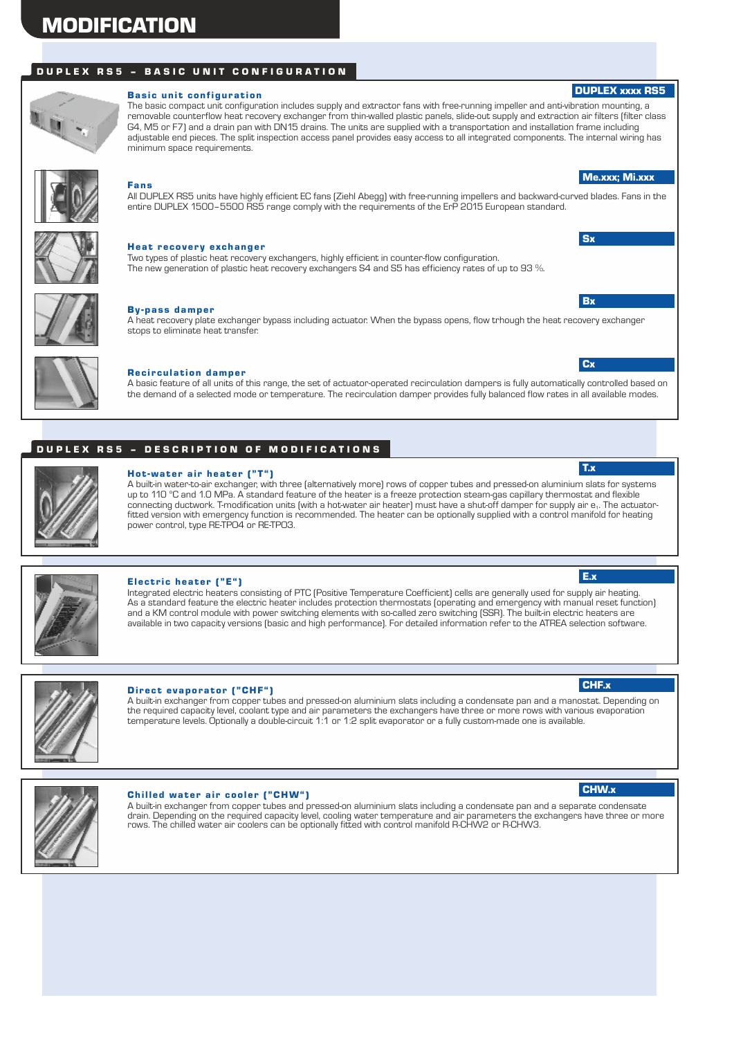# **MODIFICATION**

# DUPLEX RS5 - BASIC UNIT CONFIGURATION



#### Basic unit configuration

The basic compact unit configuration includes supply and extractor fans with free-running impeller and anti-vibration mounting, a removable counterflow heat recovery exchanger from thin-walled plastic panels, slide-out supply and extraction air filters (filter class G4, M5 or F7) and a drain pan with DN15 drains. The units are supplied with a transportation and installation frame including adjustable end pieces. The split inspection access panel provides easy access to all integrated components. The internal wiring has minimum space requirements.



#### Fans

All DUPLEX RS5 units have highly efficient EC fans (Ziehl Abegg) with free-running impellers and backward-curved blades. Fans in the entire DUPLEX 1500–5500 RS5 range comply with the requirements of the ErP 2015 European standard.



#### Heat recovery exchanger

Two types of plastic heat recovery exchangers, highly efficient in counter-flow configuration. The new generation of plastic heat recovery exchangers S4 and S5 has efficiency rates of up to 93 %.



#### By -pass damper

A heat recovery plate exchanger bypass including actuator. When the bypass opens, flow trhough the heat recovery exchanger stops to eliminate heat transfer.



#### **Recirculation damper**

A basic feature of all units of this range, the set of actuator-operated recirculation dampers is fully automatically controlled based on the demand of a selected mode or temperature. The recirculation damper provides fully balanced flow rates in all available modes.

# D U P L E X R S 5 - D E S C R I P T I O N O F M O D I F I C A T I O N S



#### Hot-water air heater ("T")

A built-in water-to-air exchanger, with three (alternatively more) rows of copper tubes and pressed-on aluminium slats for systems up to 110 °C and 1.0 MPa. A standard feature of the heater is a freeze protection steam-gas capillary thermostat and flexible connecting ductwork. T-modification units (with a hot-water air heater) must have a shut-off damper for supply air e<sub>1</sub>. The actuatorfitted version with emergency function is recommended. The heater can be optionally supplied with a control manifold for heating power control, type RE-TPO4 or RE-TPO3.



#### Electric heater ("E")

Integrated electric heaters consisting of PTC (Positive Temperature Coefficient) cells are generally used for supply air heating. As a standard feature the electric heater includes protection thermostats (operating and emergency with manual reset function) and a KM control module with power switching elements with so-called zero switching (SSR). The built-in electric heaters are available in two capacity versions (basic and high performance). For detailed information refer to the ATREA selection software.



#### Direct evaporator ("CHF")

A built-in exchanger from copper tubes and pressed-on aluminium slats including a condensate pan and a manostat. Depending on the required capacity level, coolant type and air parameters the exchangers have three or more rows with various evaporation temperature levels. Optionally a double-circuit 1:1 or 1:2 split evaporator or a fully custom-made one is available.



#### Chilled water air cooler ("CHW")

A built-in exchanger from copper tubes and pressed-on aluminium slats including a condensate pan and a separate condensate drain. Depending on the required capacity level, cooling water temperature and air parameters the exchangers have three or more<br>rows. The chilled water air coolers can be optionally fitted with control manifold R-CHW2 or R







E.x

### **Cx**

**Sx** 

**Bx** 

Me.xxx; Mi.xxx

DUPLEX xxxx RS5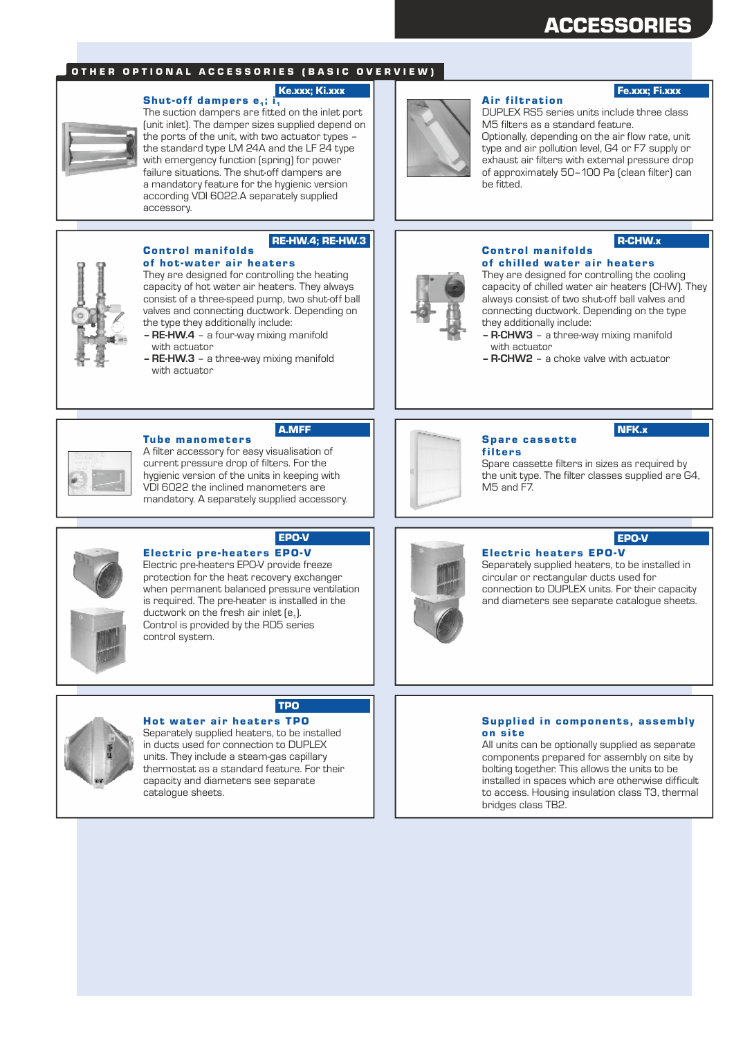# ACCESSORIES

### OTHER OPTIONAL ACCESSORIES (BASIC OVERVIEW)

### Shut-off dampers  $e_1$ ; i.



The suction dampers are fitted on the inlet port (unit inlet). The damper sizes supplied depend on the ports of the unit, with two actuator types – the standard type LM 24A and the LF 24 type with emergency function (spring) for power failure situations. The shut-off dampers are a mandatory feature for the hygienic version according VDI 6022.A separately supplied accessory.

They are designed for controlling the heating capacity of hot water air heaters. They always consist of a three-speed pump, two shut-off ball valves and connecting ductwork. Depending on

**– RE-HW.4** – a four-way mixing manifold

**– RE-HW.3** – a three-way mixing manifold



#### Ke.xxx; Ki.xxx **Fe.xxx; Finally Fe.xxx; Finally Fe.xxx**; Finally Fe.xxx; Finally Fe.xxx; Finally Fe.xxx; Finally Fe.xxx; Finally Fe.xxx; Finally Fe.xxx; Finally Fe.xxx; Finally Fe.xxx; Finally Fe.xxx; Finally Fe.xxx; Final

DUPLEX RS5 series units include three class M5 filters as a standard feature. Optionally, depending on the air flow rate, unit type and air pollution level, G4 or F7 supply or exhaust air filters with external pressure drop of approximately 50–100 Pa (clean filter) can be fitted.

**Air filtration** 

# R-CHW.x



#### Control manifolds of chilled water air heaters

They are designed for controlling the cooling capacity of chilled water air heaters (CHW). They always consist of two shut-off ball valves and connecting ductwork. Depending on the type they additionally include:

- **R-CHW3** a three-way mixing manifold with actuator
- **R-CHW2** a choke valve with actuator

#### **Tube manometers**

the type they additionally include:

Control manifolds of hot-water air heaters

with actuator

with actuator

A filter accessory for easy visualisation of current pressure drop of filters. For the hygienic version of the units in keeping with VDI 6022 the inclined manometers are mandatory. A separately supplied accessory.

Electric pre-heaters EPO-V provide freeze protection for the heat recovery exchanger when permanent balanced pressure ventilation is required. The pre-heater is installed in the

Electric pre-heaters EPO-V

ductwork on the fresh air inlet  $[e_1]$ .

control system.

Control is provided by the RD5 series

A.MFF

EPO-V

RE-HW.4; RE-HW.3



#### NFK.x

filters Spare cassette filters in sizes as required by the unit type. The filter classes supplied are G4, M<sub>5</sub> and F<sub>7</sub>

# EPO-V

### **Electric heaters EPO-V**

Spare cassette

Separately supplied heaters, to be installed in circular or rectangular ducts used for connection to DUPLEX units. For their capacity and diameters see separate catalogue sheets.



# TPO

Hot water air heaters TPO Separately supplied heaters, to be installed in ducts used for connection to DUPLEX units. They include a steam-gas capillary thermostat as a standard feature. For their capacity and diameters see separate catalogue sheets.

#### Supplied in components, assembly on site

All units can be optionally supplied as separate components prepared for assembly on site by bolting together. This allows the units to be installed in spaces which are otherwise difficult to access. Housing insulation class T3, thermal bridges class TB2.